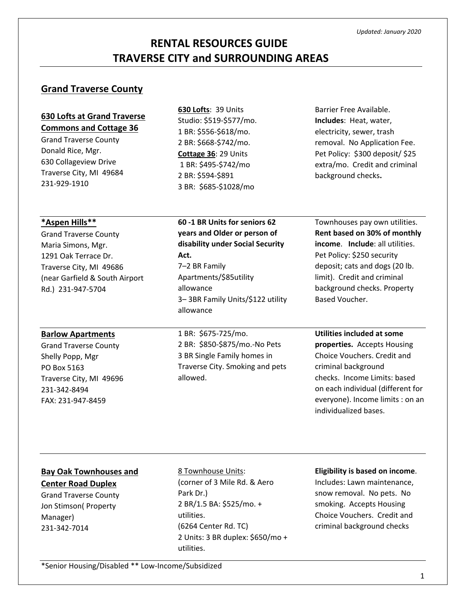# **RENTAL RESOURCES GUIDE TRAVERSE CITY and SURROUNDING AREAS**

### **Grand Traverse County**

### **630 Lofts at Grand Traverse Commons and Cottage 36**

Grand Traverse County Donald Rice, Mgr. 630 Collageview Drive Traverse City, MI 49684 231-929-1910

**630 Lofts**: 39 Units Studio: \$519-\$577/mo. 1 BR: \$556-\$618/mo. 2 BR: \$668-\$742/mo. **Cottage 36**: 29 Units 1 BR: \$495-\$742/mo 2 BR: \$594-\$891 3 BR: \$685-\$1028/mo

**60 -1 BR Units for seniors 62 years and Older or person of disability under Social Security** 

**Act.**

7–2 BR Family

allowance

allowance

Apartments/\$85utility

Barrier Free Available. **Includes**: Heat, water, electricity, sewer, trash removal. No Application Fee. Pet Policy: \$300 deposit/ \$25 extra/mo. Credit and criminal background checks**.** 

#### **\*Aspen Hills\*\***

Grand Traverse County Maria Simons, Mgr. 1291 Oak Terrace Dr. Traverse City, MI 49686 (near Garfield & South Airport Rd.) 231-947-5704

#### **Barlow Apartments**

Grand Traverse County Shelly Popp, Mgr PO Box 5163 Traverse City, MI 49696 231-342-8494 FAX: 231-947-8459

1 BR: \$675-725/mo. 2 BR: \$850-\$875/mo.-No Pets 3 BR Single Family homes in Traverse City. Smoking and pets allowed.

3– 3BR Family Units/\$122 utility

Townhouses pay own utilities. **Rent based on 30% of monthly income**. **Include**: all utilities. Pet Policy: \$250 security deposit; cats and dogs (20 lb. limit). Credit and criminal background checks. Property Based Voucher.

### **Utilities included at some**

**properties.** Accepts Housing Choice Vouchers. Credit and criminal background checks. Income Limits: based on each individual (different for everyone). Income limits : on an individualized bases.

### **Bay Oak Townhouses and**

**Center Road Duplex** Grand Traverse County Jon Stimson( Property Manager) 231-342-7014

8 Townhouse Units:

(corner of 3 Mile Rd. & Aero Park Dr.) 2 BR/1.5 BA: \$525/mo. + utilities. (6264 Center Rd. TC) 2 Units: 3 BR duplex: \$650/mo + utilities.

#### **Eligibility is based on income**.

Includes: Lawn maintenance, snow removal. No pets. No smoking. Accepts Housing Choice Vouchers. Credit and criminal background checks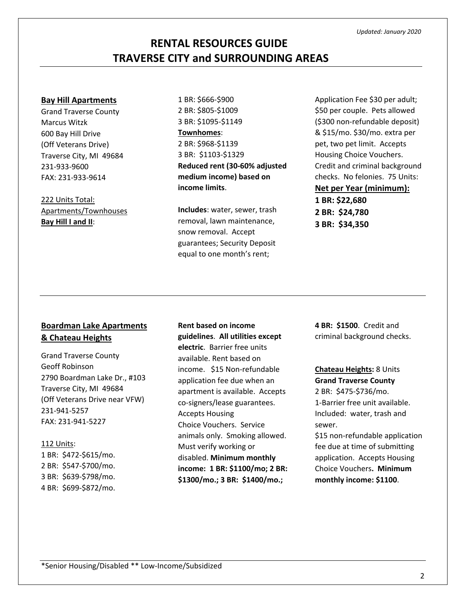\*Senior Housing/Disabled \*\* Low-Income/Subsidized

## **RENTAL RESOURCES GUIDE TRAVERSE CITY and SURROUNDING AREAS**

#### **Bay Hill Apartments**

Grand Traverse County Marcus Witzk 600 Bay Hill Drive (Off Veterans Drive) Traverse City, MI 49684 231-933-9600 FAX: 231-933-9614

222 Units Total: Apartments/Townhouses **Bay Hill I and II**:

1 BR: \$666-\$900 2 BR: \$805-\$1009 3 BR: \$1095-\$1149 **Townhomes**: 2 BR: \$968-\$1139 3 BR: \$1103-\$1329 **Reduced rent (30-60% adjusted medium income) based on income limits**.

**Includes**: water, sewer, trash removal, lawn maintenance, snow removal. Accept guarantees; Security Deposit equal to one month's rent;

Application Fee \$30 per adult; \$50 per couple. Pets allowed (\$300 non-refundable deposit) & \$15/mo. \$30/mo. extra per pet, two pet limit. Accepts Housing Choice Vouchers. Credit and criminal background checks. No felonies. 75 Units: **Net per Year (minimum): 1 BR: \$22,680 2 BR: \$24,780 3 BR: \$34,350**

### **Boardman Lake Apartments & Chateau Heights**

Grand Traverse County Geoff Robinson 2790 Boardman Lake Dr., #103 Traverse City, MI 49684 (Off Veterans Drive near VFW) 231-941-5257 FAX: 231-941-5227

#### 112 Units:

1 BR: \$472-\$615/mo. 2 BR: \$547-\$700/mo. 3 BR: \$639-\$798/mo. 4 BR: \$699-\$872/mo.

**Rent based on income guidelines**. **All utilities except electric**. Barrier free units available. Rent based on income. \$15 Non-refundable application fee due when an apartment is available. Accepts co-signers/lease guarantees. Accepts Housing Choice Vouchers. Service animals only. Smoking allowed. Must verify working or disabled. **Minimum monthly income: 1 BR: \$1100/mo; 2 BR: \$1300/mo.; 3 BR: \$1400/mo.;** 

**4 BR: \$1500**. Credit and criminal background checks.

**Chateau Heights:** 8 Units **Grand Traverse County**

2 BR: \$475-\$736/mo. 1-Barrier free unit available. Included: water, trash and sewer.

\$15 non-refundable application fee due at time of submitting application. Accepts Housing Choice Vouchers**. Minimum monthly income: \$1100**.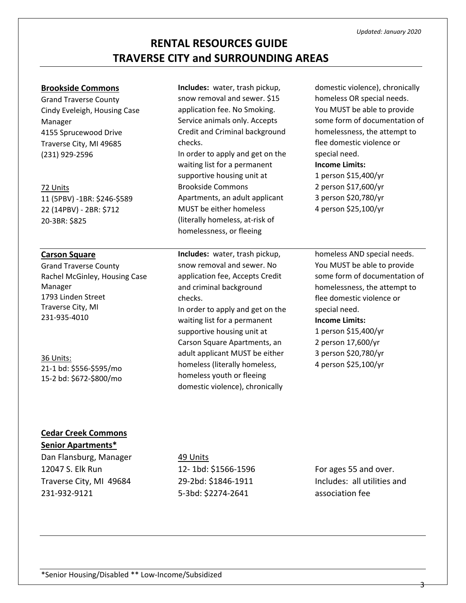### **Brookside Commons**

Grand Traverse County Cindy Eveleigh, Housing Case Manager 4155 Sprucewood Drive Traverse City, MI 49685 (231) 929-2596

#### 72 Units

11 (5PBV) -1BR: \$246-\$589 22 (14PBV) - 2BR: \$712 20-3BR: \$825

### **Carson Square**

Grand Traverse County Rachel McGinley, Housing Case Manager 1793 Linden Street Traverse City, MI 231-935-4010

### 36 Units: 21-1 bd: \$556-\$595/mo 15-2 bd: \$672-\$800/mo

**Includes:** water, trash pickup, snow removal and sewer. \$15 application fee. No Smoking. Service animals only. Accepts Credit and Criminal background checks. In order to apply and get on the waiting list for a permanent supportive housing unit at

Brookside Commons Apartments, an adult applicant MUST be either homeless (literally homeless, at-risk of homelessness, or fleeing

**Includes:** water, trash pickup, snow removal and sewer. No application fee, Accepts Credit and criminal background checks. In order to apply and get on the

waiting list for a permanent supportive housing unit at Carson Square Apartments, an adult applicant MUST be either homeless (literally homeless, homeless youth or fleeing domestic violence), chronically

domestic violence), chronically homeless OR special needs. You MUST be able to provide some form of documentation of homelessness, the attempt to flee domestic violence or special need.

### **Income Limits:**

1 person \$15,400/yr 2 person \$17,600/yr 3 person \$20,780/yr 4 person \$25,100/yr

homeless AND special needs. You MUST be able to provide some form of documentation of homelessness, the attempt to flee domestic violence or special need.

#### **Income Limits:**

1 person \$15,400/yr 2 person 17,600/yr 3 person \$20,780/yr 4 person \$25,100/yr

### **Cedar Creek Commons**

### **Senior Apartments\***

Dan Flansburg, Manager 12047 S. Elk Run Traverse City, MI 49684 231-932-9121

#### 49 Units

12- 1bd: \$1566-1596 29-2bd: \$1846-1911 5-3bd: \$2274-2641

For ages 55 and over. Includes: all utilities and association fee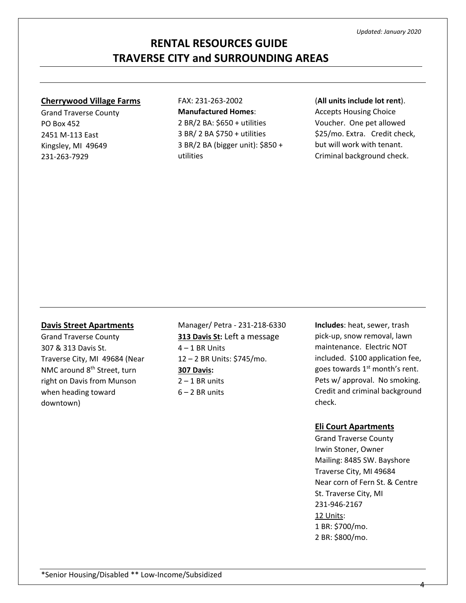#### **Cherrywood Village Farms**

Grand Traverse County PO Box 452 2451 M-113 East Kingsley, MI 49649 231-263-7929

FAX: 231-263-2002 **Manufactured Homes**: 2 BR/2 BA: \$650 + utilities 3 BR/ 2 BA \$750 + utilities 3 BR/2 BA (bigger unit): \$850 + utilities

#### (**All units include lot rent**).

Accepts Housing Choice Voucher. One pet allowed \$25/mo. Extra. Credit check, but will work with tenant. Criminal background check.

#### **Davis Street Apartments**

Grand Traverse County 307 & 313 Davis St. Traverse City, MI 49684 (Near NMC around 8<sup>th</sup> Street, turn right on Davis from Munson when heading toward downtown)

Manager/ Petra - 231-218-6330 **313 Davis St:** Left a message 4 – 1 BR Units 12 – 2 BR Units: \$745/mo. **307 Davis:**  $2 - 1$  BR units  $6 - 2$  BR units

**Includes**: heat, sewer, trash pick-up, snow removal, lawn maintenance. Electric NOT included. \$100 application fee, goes towards  $1<sup>st</sup>$  month's rent. Pets w/ approval. No smoking. Credit and criminal background check.

#### **Eli Court Apartments**

Grand Traverse County Irwin Stoner, Owner Mailing: 8485 SW. Bayshore Traverse City, MI 49684 Near corn of Fern St. & Centre St. Traverse City, MI 231-946-2167 12 Units: 1 BR: \$700/mo. 2 BR: \$800/mo.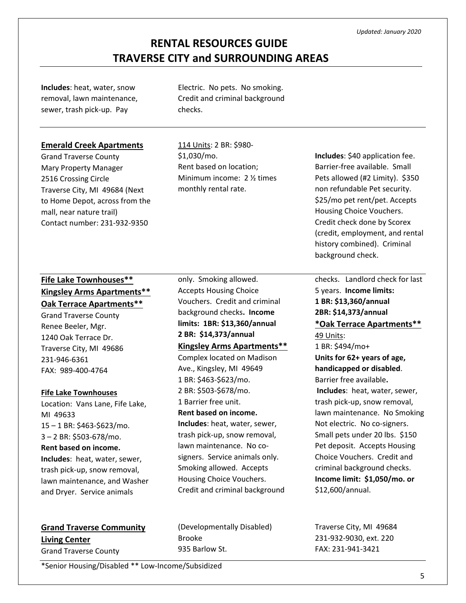**Includes**: heat, water, snow removal, lawn maintenance, sewer, trash pick-up. Pay

Electric. No pets. No smoking. Credit and criminal background checks.

#### **Emerald Creek Apartments**

Grand Traverse County Mary Property Manager 2516 Crossing Circle Traverse City, MI 49684 (Next to Home Depot, across from the mall, near nature trail) Contact number: 231-932-9350

114 Units: 2 BR: \$980- \$1,030/mo. Rent based on location; Minimum income: 2 ½ times monthly rental rate.

### **Fife Lake Townhouses\*\* Kingsley Arms Apartments\*\* Oak Terrace Apartments\*\***

Grand Traverse County Renee Beeler, Mgr. 1240 Oak Terrace Dr. Traverse City, MI 49686 231-946-6361 FAX: 989-400-4764

#### **Fife Lake Townhouses**

Location: Vans Lane, Fife Lake, MI 49633 15 – 1 BR: \$463-\$623/mo. 3 – 2 BR: \$503-678/mo. **Rent based on income. Includes**: heat, water, sewer, trash pick-up, snow removal, lawn maintenance, and Washer and Dryer. Service animals

only. Smoking allowed. Accepts Housing Choice Vouchers. Credit and criminal background checks**. Income limits: 1BR: \$13,360/annual 2 BR: \$14,373/annual Kingsley Arms Apartments\*\***

Complex located on Madison Ave., Kingsley, MI 49649 1 BR: \$463-\$623/mo. 2 BR: \$503-\$678/mo. 1 Barrier free unit. **Rent based on income. Includes**: heat, water, sewer, trash pick-up, snow removal, lawn maintenance. No cosigners. Service animals only. Smoking allowed. Accepts Housing Choice Vouchers. Credit and criminal background

### **Grand Traverse Community Living Center**

Grand Traverse County

(Developmentally Disabled) Brooke 935 Barlow St.

**Includes**: \$40 application fee. Barrier-free available. Small Pets allowed (#2 Limity). \$350 non refundable Pet security. \$25/mo pet rent/pet. Accepts Housing Choice Vouchers. Credit check done by Scorex (credit, employment, and rental history combined). Criminal background check.

checks. Landlord check for last 5 years. **Income limits: 1 BR: \$13,360/annual 2BR: \$14,373/annual \*Oak Terrace Apartments\*\*** 49 Units: 1 BR: \$494/mo+ **Units for 62+ years of age,** 

**handicapped or disabled**. Barrier free available**. Includes**: heat, water, sewer, trash pick-up, snow removal, lawn maintenance. No Smoking Not electric. No co-signers. Small pets under 20 lbs. \$150 Pet deposit. Accepts Housing Choice Vouchers. Credit and criminal background checks. **Income limit: \$1,050/mo. or**  \$12,600/annual.

Traverse City, MI 49684 231-932-9030, ext. 220 FAX: 231-941-3421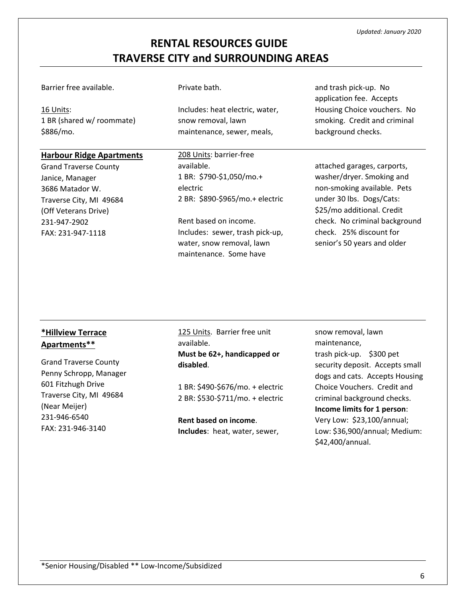Barrier free available.

16 Units: 1 BR (shared w/ roommate) \$886/mo.

**Harbour Ridge Apartments**

Grand Traverse County

Traverse City, MI 49684 (Off Veterans Drive) 231-947-2902 FAX: 231-947-1118

Janice, Manager 3686 Matador W.

### Private bath.

Includes: heat electric, water, snow removal, lawn maintenance, sewer, meals,

208 Units: barrier-free available. 1 BR: \$790-\$1,050/mo.+ electric 2 BR: \$890-\$965/mo.+ electric

Rent based on income. Includes: sewer, trash pick-up, water, snow removal, lawn maintenance. Some have

and trash pick-up. No application fee. Accepts Housing Choice vouchers. No smoking. Credit and criminal background checks.

attached garages, carports, washer/dryer. Smoking and non-smoking available. Pets under 30 lbs. Dogs/Cats: \$25/mo additional. Credit check. No criminal background check. 25% discount for senior's 50 years and older

### **\*Hillview Terrace Apartments\*\***

Grand Traverse County Penny Schropp, Manager 601 Fitzhugh Drive Traverse City, MI 49684 (Near Meijer) 231-946-6540 FAX: 231-946-3140

125 Units. Barrier free unit available.

**Must be 62+, handicapped or disabled**.

1 BR: \$490-\$676/mo. + electric 2 BR: \$530-\$711/mo. + electric

**Rent based on income**. **Includes**: heat, water, sewer, snow removal, lawn maintenance, trash pick-up. \$300 pet security deposit. Accepts small dogs and cats. Accepts Housing Choice Vouchers. Credit and criminal background checks. **Income limits for 1 person**: Very Low: \$23,100/annual; Low: \$36,900/annual; Medium: \$42,400/annual.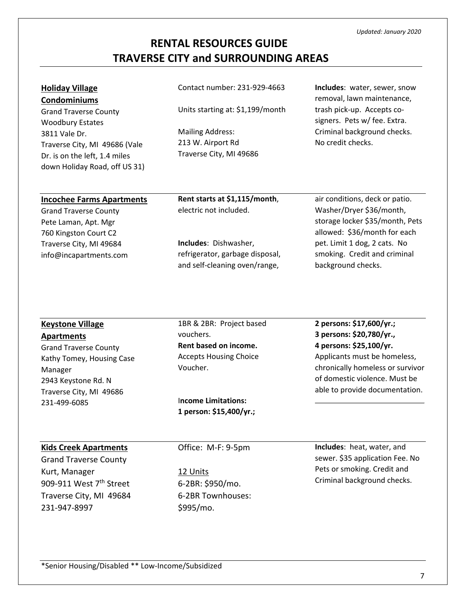# **Holiday Village**

**Condominiums** Grand Traverse County Woodbury Estates 3811 Vale Dr. Traverse City, MI 49686 (Vale Dr. is on the left, 1.4 miles down Holiday Road, off US 31)

#### Contact number: 231-929-4663

Units starting at: \$1,199/month

Mailing Address: 213 W. Airport Rd Traverse City, MI 49686 **Includes**: water, sewer, snow removal, lawn maintenance, trash pick-up. Accepts cosigners. Pets w/ fee. Extra. Criminal background checks. No credit checks.

#### **Incochee Farms Apartments** Grand Traverse County Pete Laman, Apt. Mgr 760 Kingston Court C2 Traverse City, MI 49684 info@incapartments.com **Rent starts at \$1,115/month**, electric not included. **Includes**: Dishwasher, refrigerator, garbage disposal, and self-cleaning oven/range, air conditions, deck or patio. Washer/Dryer \$36/month, storage locker \$35/month, Pets allowed: \$36/month for each pet. Limit 1 dog, 2 cats. No smoking. Credit and criminal background checks.

#### **Keystone Village**

**Apartments** Grand Traverse County Kathy Tomey, Housing Case Manager 2943 Keystone Rd. N Traverse City, MI 49686 231-499-6085

1BR & 2BR: Project based vouchers. **Rent based on income.** Accepts Housing Choice Voucher.

I**ncome Limitations: 1 person: \$15,400/yr.;**  **2 persons: \$17,600/yr.; 3 persons: \$20,780/yr., 4 persons: \$25,100/yr.** Applicants must be homeless, chronically homeless or survivor of domestic violence. Must be able to provide documentation.

#### **Kids Creek Apartments**

Grand Traverse County Kurt, Manager 909-911 West 7<sup>th</sup> Street Traverse City, MI 49684 231-947-8997

Office: M-F: 9-5pm

12 Units 6-2BR: \$950/mo. 6-2BR Townhouses: \$995/mo.

**Includes**: heat, water, and sewer. \$35 application Fee. No Pets or smoking. Credit and Criminal background checks.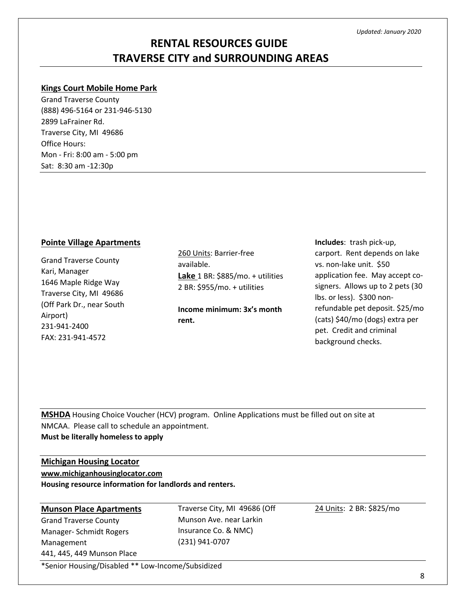# **RENTAL RESOURCES GUIDE TRAVERSE CITY and SURROUNDING AREAS**

#### **Kings Court Mobile Home Park**

Grand Traverse County (888) 496-5164 or 231-946-5130 2899 LaFrainer Rd. Traverse City, MI 49686 Office Hours: Mon - Fri: 8:00 am - 5:00 pm Sat: 8:30 am -12:30p

#### **Pointe Village Apartments**

Grand Traverse County Kari, Manager 1646 Maple Ridge Way Traverse City, MI 49686 (Off Park Dr., near South Airport) 231-941-2400 FAX: 231-941-4572

260 Units: Barrier-free available. **Lake** 1 BR: \$885/mo. + utilities 2 BR: \$955/mo. + utilities

**Income minimum: 3x's month rent.**

**Includes**: trash pick-up, carport. Rent depends on lake vs. non-lake unit. \$50 application fee. May accept cosigners. Allows up to 2 pets (30 lbs. or less). \$300 nonrefundable pet deposit. \$25/mo (cats) \$40/mo (dogs) extra per pet. Credit and criminal background checks.

**MSHDA** Housing Choice Voucher (HCV) program. Online Applications must be filled out on site at NMCAA. Please call to schedule an appointment. **Must be literally homeless to apply**

#### **Michigan Housing Locator**

**[www.michiganhousinglocator.com](http://www.michiganhousinglocator.com/)**

**Housing resource information for landlords and renters.**

### **Munson Place Apartments**

Grand Traverse County Manager- Schmidt Rogers Management 441, 445, 449 Munson Place Traverse City, MI 49686 (Off Munson Ave. near Larkin Insurance Co. & NMC) (231) 941-0707

24 Units: 2 BR: \$825/mo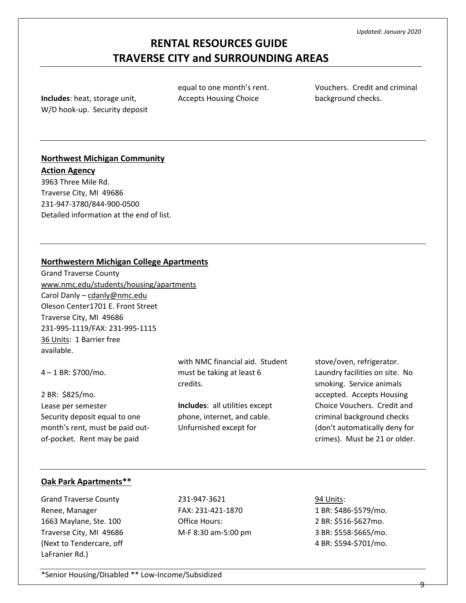**Includes**: heat, storage unit, W/D hook-up. Security deposit

equal to one month's rent. Accepts Housing Choice

Vouchers. Credit and criminal background checks.

### **Northwest Michigan Community**

**Action Agency** 3963 Three Mile Rd. Traverse City, MI 49686 231-947-3780/844-900-0500 Detailed information at the end of list.

### **Northwestern Michigan College Apartments**

Grand Traverse County [www.nmc.edu/students/housing/apartments](http://www.nmc.edu/students/housing/apartments) Carol Danly – [cdanly@nmc.edu](mailto:cdanly@nmc.edu) Oleson Center1701 E. Front Street Traverse City, MI 49686 231-995-1119/FAX: 231-995-1115 36 Units: 1 Barrier free available.

4 – 1 BR: \$700/mo. 2 BR: \$825/mo. with NMC financial aid. Student must be taking at least 6 credits.

Lease per semester Security deposit equal to one month's rent, must be paid outof-pocket. Rent may be paid

**Includes**: all utilities except phone, internet, and cable. Unfurnished except for

stove/oven, refrigerator. Laundry facilities on site. No smoking. Service animals accepted. Accepts Housing Choice Vouchers. Credit and criminal background checks (don't automatically deny for crimes). Must be 21 or older.

#### **Oak Park Apartments\*\***

Grand Traverse County Renee, Manager 1663 Maylane, Ste. 100 Traverse City, MI 49686 (Next to Tendercare, off LaFranier Rd.)

231-947-3621 FAX: 231-421-1870 Office Hours: M-F 8:30 am-5:00 pm

94 Units: 1 BR: \$486-\$579/mo. 2 BR: \$516-\$627mo. 3 BR: \$558-\$665/mo. 4 BR: \$594-\$701/mo.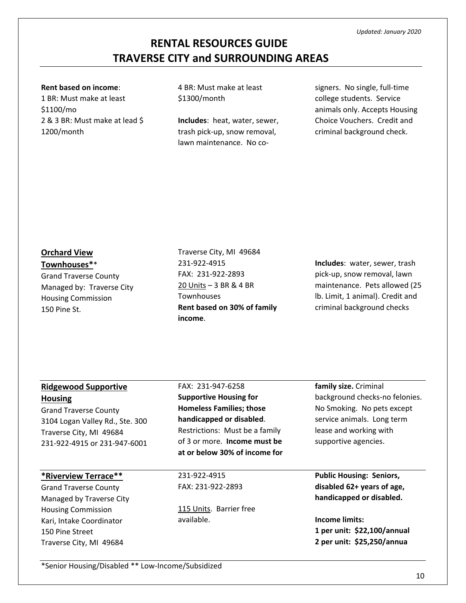#### **Rent based on income**:

1 BR: Must make at least \$1100/mo 2 & 3 BR: Must make at lead \$ 1200/month

4 BR: Must make at least \$1300/month

**Includes**: heat, water, sewer, trash pick-up, snow removal, lawn maintenance. No co-

signers. No single, full-time college students. Service animals only. Accepts Housing Choice Vouchers. Credit and criminal background check.

### **Orchard View**

**Townhouses\***\*

Grand Traverse County Managed by: Traverse City Housing Commission 150 Pine St.

### Traverse City, MI 49684 231-922-4915 FAX: 231-922-2893 20 Units – 3 BR & 4 BR **Townhouses Rent based on 30% of family income**.

**Includes**: water, sewer, trash pick-up, snow removal, lawn maintenance. Pets allowed (25 lb. Limit, 1 animal). Credit and criminal background checks

| <b>Ridgewood Supportive</b>     | FAX: 231-947-6258               | family size. Criminal           |  |
|---------------------------------|---------------------------------|---------------------------------|--|
| <b>Housing</b>                  | <b>Supportive Housing for</b>   | background checks-no felonies.  |  |
| <b>Grand Traverse County</b>    | <b>Homeless Families; those</b> | No Smoking. No pets except      |  |
| 3104 Logan Valley Rd., Ste. 300 | handicapped or disabled.        | service animals. Long term      |  |
| Traverse City, MI 49684         | Restrictions: Must be a family  | lease and working with          |  |
| 231-922-4915 or 231-947-6001    | of 3 or more. Income must be    | supportive agencies.            |  |
|                                 | at or below 30% of income for   |                                 |  |
|                                 |                                 |                                 |  |
| *Riverview Terrace**            | 231-922-4915                    | <b>Public Housing: Seniors,</b> |  |
| <b>Grand Traverse County</b>    | FAX: 231-922-2893               | disabled 62+ years of age,      |  |
| Managed by Traverse City        |                                 | handicapped or disabled.        |  |
| <b>Housing Commission</b>       | 115 Units. Barrier free         |                                 |  |
| Kari, Intake Coordinator        | available.                      | <b>Income limits:</b>           |  |
| 150 Pine Street                 |                                 | 1 per unit: \$22,100/annual     |  |
| Traverse City, MI 49684         |                                 | 2 per unit: \$25,250/annua      |  |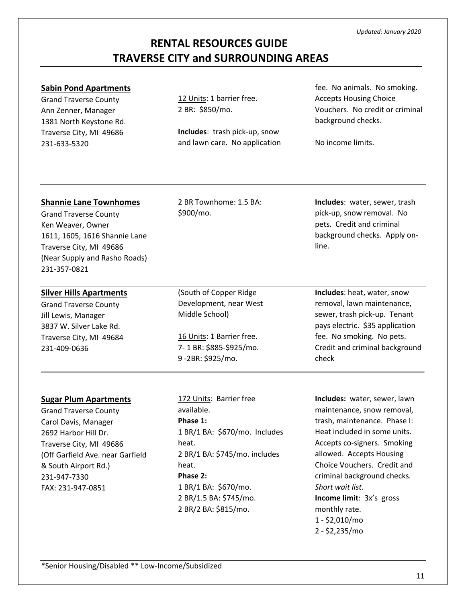#### **Sabin Pond Apartments**

Grand Traverse County Ann Zenner, Manager 1381 North Keystone Rd. Traverse City, MI 49686 231-633-5320

12 Units: 1 barrier free. 2 BR: \$850/mo.

**Includes**: trash pick-up, snow and lawn care. No application fee. No animals. No smoking. Accepts Housing Choice Vouchers. No credit or criminal background checks.

No income limits.

#### **Shannie Lane Townhomes**

Grand Traverse County Ken Weaver, Owner 1611, 1605, 1616 Shannie Lane Traverse City, MI 49686 (Near Supply and Rasho Roads) 231-357-0821

### **Silver Hills Apartments**

Grand Traverse County Jill Lewis, Manager 3837 W. Silver Lake Rd. Traverse City, MI 49684 231-409-0636

2 BR Townhome: 1.5 BA: \$900/mo.

**Includes**: water, sewer, trash pick-up, snow removal. No pets. Credit and criminal background checks. Apply online.

(South of Copper Ridge Development, near West Middle School)

16 Units: 1 Barrier free. 7- 1 BR: \$885-\$925/mo. 9 -2BR: \$925/mo.

**Includes**: heat, water, snow removal, lawn maintenance, sewer, trash pick-up. Tenant pays electric. \$35 application fee. No smoking. No pets. Credit and criminal background check

#### **Sugar Plum Apartments**

Grand Traverse County Carol Davis, Manager 2692 Harbor Hill Dr. Traverse City, MI 49686 (Off Garfield Ave. near Garfield & South Airport Rd.) 231-947-7330 FAX: 231-947-0851

172 Units: Barrier free available. **Phase 1:** 1 BR/1 BA: \$670/mo. Includes heat. 2 BR/1 BA: \$745/mo. includes heat. **Phase 2:** 1 BR/1 BA: \$670/mo. 2 BR/1.5 BA: \$745/mo. 2 BR/2 BA: \$815/mo.

**Includes:** water, sewer, lawn maintenance, snow removal, trash, maintenance. Phase I: Heat included in some units. Accepts co-signers. Smoking allowed. Accepts Housing Choice Vouchers. Credit and criminal background checks*. Short wait list.* **Income limit**: 3x's gross monthly rate. 1 - \$2,010/mo 2 - \$2,235/mo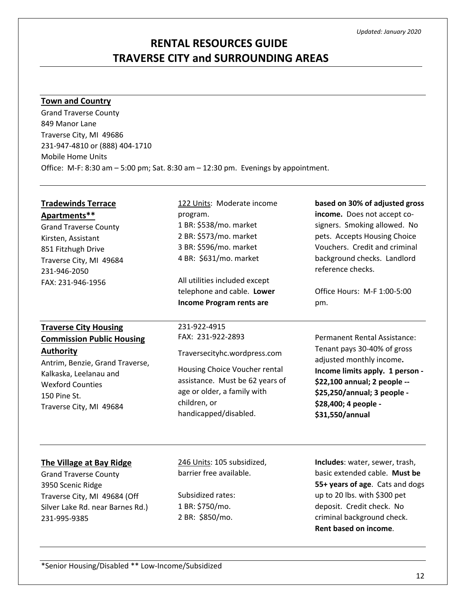# **RENTAL RESOURCES GUIDE TRAVERSE CITY and SURROUNDING AREAS**

#### **Town and Country**

Grand Traverse County 849 Manor Lane Traverse City, MI 49686 231-947-4810 or (888) 404-1710 Mobile Home Units Office: M-F: 8:30 am – 5:00 pm; Sat. 8:30 am – 12:30 pm. Evenings by appointment.

| <b>Tradewinds Terrace</b>                                                                                                                                         | 122 Units: Moderate income                                                                                       | based on 30% of adjusted gross                                                                                                                                                                                         |
|-------------------------------------------------------------------------------------------------------------------------------------------------------------------|------------------------------------------------------------------------------------------------------------------|------------------------------------------------------------------------------------------------------------------------------------------------------------------------------------------------------------------------|
| Apartments**                                                                                                                                                      | program.                                                                                                         | income. Does not accept co-                                                                                                                                                                                            |
| <b>Grand Traverse County</b>                                                                                                                                      | 1 BR: \$538/mo. market                                                                                           | signers. Smoking allowed. No                                                                                                                                                                                           |
| Kirsten, Assistant                                                                                                                                                | 2 BR: \$573/mo. market                                                                                           | pets. Accepts Housing Choice                                                                                                                                                                                           |
| 851 Fitzhugh Drive                                                                                                                                                | 3 BR: \$596/mo. market                                                                                           | Vouchers. Credit and criminal                                                                                                                                                                                          |
| Traverse City, MI 49684                                                                                                                                           | 4 BR: \$631/mo. market                                                                                           | background checks. Landlord                                                                                                                                                                                            |
| 231-946-2050                                                                                                                                                      | All utilities included except                                                                                    | reference checks.                                                                                                                                                                                                      |
| FAX: 231-946-1956                                                                                                                                                 | telephone and cable. Lower                                                                                       | Office Hours: M-F 1:00-5:00                                                                                                                                                                                            |
|                                                                                                                                                                   | <b>Income Program rents are</b>                                                                                  | pm.                                                                                                                                                                                                                    |
| <b>Traverse City Housing</b>                                                                                                                                      | 231-922-4915                                                                                                     | Permanent Rental Assistance:                                                                                                                                                                                           |
| <b>Commission Public Housing</b>                                                                                                                                  | FAX: 231-922-2893                                                                                                | Tenant pays 30-40% of gross                                                                                                                                                                                            |
| <b>Authority</b>                                                                                                                                                  | Traversecityhc.wordpress.com                                                                                     | adjusted monthly income.                                                                                                                                                                                               |
| Antrim, Benzie, Grand Traverse,                                                                                                                                   | Housing Choice Voucher rental                                                                                    | Income limits apply. 1 person -                                                                                                                                                                                        |
| Kalkaska, Leelanau and                                                                                                                                            | assistance. Must be 62 years of                                                                                  | \$22,100 annual; 2 people --                                                                                                                                                                                           |
| <b>Wexford Counties</b>                                                                                                                                           | age or older, a family with                                                                                      | \$25,250/annual; 3 people -                                                                                                                                                                                            |
| 150 Pine St.                                                                                                                                                      | children, or                                                                                                     | \$28,400; 4 people -                                                                                                                                                                                                   |
| Traverse City, MI 49684                                                                                                                                           | handicapped/disabled.                                                                                            | \$31,550/annual                                                                                                                                                                                                        |
| The Village at Bay Ridge<br><b>Grand Traverse County</b><br>3950 Scenic Ridge<br>Traverse City, MI 49684 (Off<br>Silver Lake Rd. near Barnes Rd.)<br>231-995-9385 | 246 Units: 105 subsidized,<br>barrier free available.<br>Subsidized rates:<br>1 BR: \$750/mo.<br>2 BR: \$850/mo. | Includes: water, sewer, trash,<br>basic extended cable. Must be<br>55+ years of age. Cats and dogs<br>up to 20 lbs. with \$300 pet<br>deposit. Credit check. No<br>criminal background check.<br>Rent based on income. |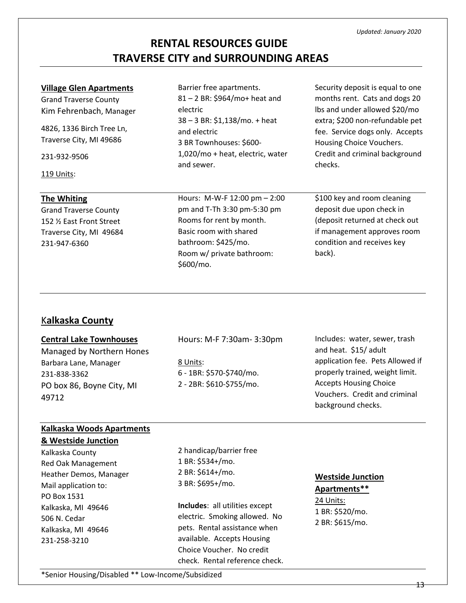#### **Village Glen Apartments**

Grand Traverse County Kim Fehrenbach, Manager

4826, 1336 Birch Tree Ln, Traverse City, MI 49686

231-932-9506

119 Units:

#### **The Whiting**

Grand Traverse County 152 ½ East Front Street Traverse City, MI 49684 231-947-6360

Barrier free apartments. 81 – 2 BR: \$964/mo+ heat and electric 38 – 3 BR: \$1,138/mo. + heat and electric 3 BR Townhouses: \$600- 1,020/mo + heat, electric, water and sewer.

Hours: M-W-F 12:00 pm – 2:00 pm and T-Th 3:30 pm-5:30 pm Rooms for rent by month. Basic room with shared bathroom: \$425/mo. Room w/ private bathroom: \$600/mo.

Security deposit is equal to one months rent. Cats and dogs 20 lbs and under allowed \$20/mo extra; \$200 non-refundable pet fee. Service dogs only. Accepts Housing Choice Vouchers. Credit and criminal background checks.

\$100 key and room cleaning deposit due upon check in (deposit returned at check out if management approves room condition and receives key back).

### K**alkaska County**

#### **Central Lake Townhouses**

Managed by Northern Hones Barbara Lane, Manager 231-838-3362 PO box 86, Boyne City, MI 49712

Hours: M-F 7:30am- 3:30pm

8 Units: 6 - 1BR: \$570-\$740/mo. 2 - 2BR: \$610-\$755/mo.

Includes: water, sewer, trash and heat. \$15/ adult application fee. Pets Allowed if properly trained, weight limit. Accepts Housing Choice Vouchers. Credit and criminal background checks.

### **Kalkaska Woods Apartments**

#### **& Westside Junction**

Kalkaska County Red Oak Management Heather Demos, Manager Mail application to: PO Box 1531 Kalkaska, MI 49646 506 N. Cedar Kalkaska, MI 49646 231-258-3210

2 handicap/barrier free 1 BR: \$534+/mo. 2 BR: \$614+/mo. 3 BR: \$695+/mo.

**Includes**: all utilities except electric. Smoking allowed. No pets. Rental assistance when available. Accepts Housing Choice Voucher. No credit check. Rental reference check.

#### **Westside Junction**

**Apartments\*\*** 24 Units: 1 BR: \$520/mo. 2 BR: \$615/mo.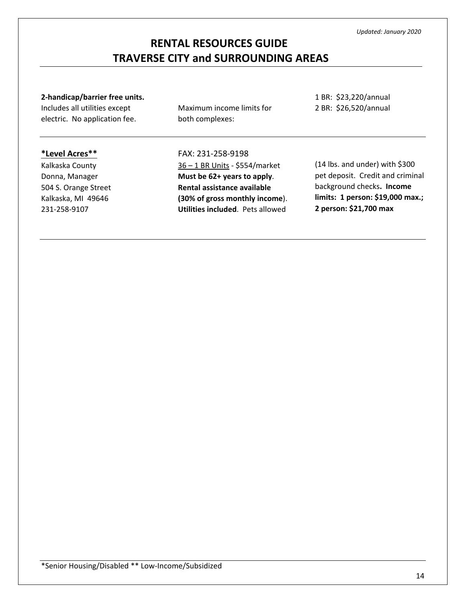#### **2-handicap/barrier free units.**

Includes all utilities except electric. No application fee. Maximum income limits for both complexes:

1 BR: \$23,220/annual 2 BR: \$26,520/annual

### **\*Level Acres\*\***

Kalkaska County Donna, Manager 504 S. Orange Street Kalkaska, MI 49646 231-258-9107

FAX: 231-258-9198 36 – 1 BR Units - \$554/market **Must be 62+ years to apply**. **Rental assistance available (30% of gross monthly income**). **Utilities included**. Pets allowed

(14 lbs. and under) with \$300 pet deposit. Credit and criminal background checks**. Income limits: 1 person: \$19,000 max.; 2 person: \$21,700 max**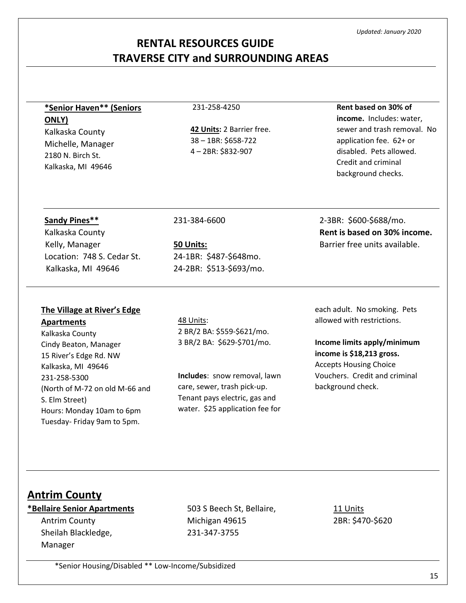15

**Rent based on 30% of income.** Includes: water, sewer and trash removal. No application fee. 62+ or disabled. Pets allowed. Credit and criminal background checks.

#### *Updated: January 2020*

### **RENTAL RESOURCES GUIDE TRAVERSE CITY and SURROUNDING AREAS**

# **\*Senior Haven\*\* (Seniors ONLY)**

Kalkaska County Michelle, Manager 2180 N. Birch St. Kalkaska, MI 49646

#### 231-258-4250

**42 Units:** 2 Barrier free. 38 – 1BR: \$658-722 4 – 2BR: \$832-907

#### **Sandy Pines\*\***

Kalkaska County Kelly, Manager Location: 748 S. Cedar St. Kalkaska, MI 49646

#### 231-384-6600

**50 Units:** 24-1BR: \$487-\$648mo. 24-2BR: \$513-\$693/mo.

2-3BR: \$600-\$688/mo.

**Rent is based on 30% income.**  Barrier free units available.

### **The Village at River's Edge**

#### **Apartments**

Kalkaska County Cindy Beaton, Manager 15 River's Edge Rd. NW Kalkaska, MI 49646 231-258-5300 (North of M-72 on old M-66 and S. Elm Street) Hours: Monday 10am to 6pm Tuesday- Friday 9am to 5pm.

48 Units: 2 BR/2 BA: \$559-\$621/mo. 3 BR/2 BA: \$629-\$701/mo.

**Includes**: snow removal, lawn care, sewer, trash pick-up. Tenant pays electric, gas and water. \$25 application fee for

each adult. No smoking. Pets allowed with restrictions.

**Income limits apply/minimum income is \$18,213 gross.** Accepts Housing Choice Vouchers. Credit and criminal background check.

### **Antrim County**

# **\*Bellaire Senior Apartments**

Antrim County Sheilah Blackledge, Manager

503 S Beech St, Bellaire, Michigan 49615 231-347-3755

11 Units 2BR: \$470-\$620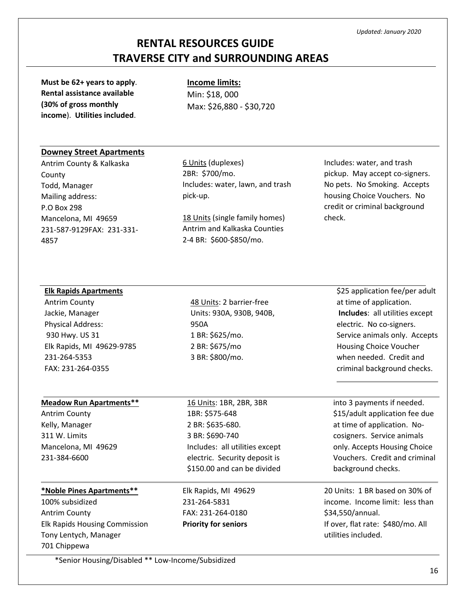**Must be 62+ years to apply**. **Rental assistance available (30% of gross monthly income**). **Utilities included**.

**Income limits:** Min: \$18, 000 Max: \$26,880 - \$30,720

#### **Downey Street Apartments**

Antrim County & Kalkaska County Todd, Manager Mailing address: P.O Box 298 Mancelona, MI 49659 231-587-9129FAX: 231-331- 4857

6 Units (duplexes) 2BR: \$700/mo. Includes: water, lawn, and trash pick-up.

18 Units (single family homes) Antrim and Kalkaska Counties 2-4 BR: \$600-\$850/mo.

Includes: water, and trash pickup. May accept co-signers. No pets. No Smoking. Accepts housing Choice Vouchers. No credit or criminal background check.

#### **Elk Rapids Apartments**

Antrim County Jackie, Manager Physical Address: 930 Hwy. US 31 Elk Rapids, MI 49629-9785 231-264-5353 FAX: 231-264-0355

#### **Meadow Run Apartments\*\*** Antrim County

Kelly, Manager 311 W. Limits Mancelona, MI 49629 231-384-6600

# **\*Noble Pines Apartments\*\*** 100% subsidized Antrim County

Elk Rapids Housing Commission Tony Lentych, Manager 701 Chippewa

\*Senior Housing/Disabled \*\* Low-Income/Subsidized

48 Units: 2 barrier-free Units: 930A, 930B, 940B, 950A 1 BR: \$625/mo. 2 BR: \$675/mo 3 BR: \$800/mo.

\$25 application fee/per adult at time of application. **Includes**: all utilities except electric. No co-signers. Service animals only. Accepts Housing Choice Voucher when needed. Credit and criminal background checks.

16 Units: 1BR, 2BR, 3BR 1BR: \$575-648 2 BR: \$635-680. 3 BR: \$690-740 Includes: all utilities except electric. Security deposit is \$150.00 and can be divided

Elk Rapids, MI 49629 231-264-5831 FAX: 231-264-0180 **Priority for seniors**

into 3 payments if needed. \$15/adult application fee due at time of application. Nocosigners. Service animals only. Accepts Housing Choice Vouchers. Credit and criminal background checks.

20 Units: 1 BR based on 30% of income. Income limit: less than \$34,550/annual. If over, flat rate: \$480/mo. All utilities included.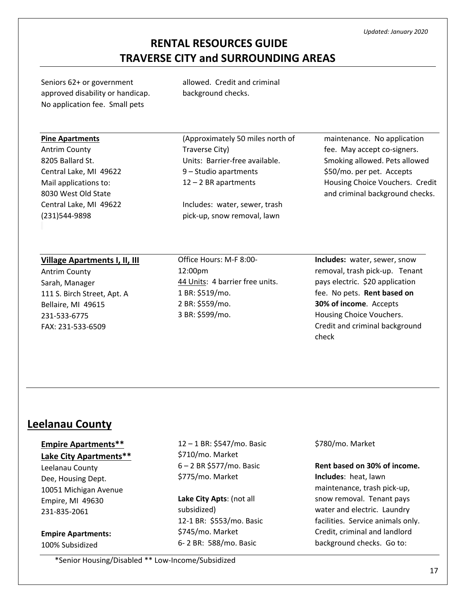# **RENTAL RESOURCES GUIDE TRAVERSE CITY and SURROUNDING AREAS**

Seniors 62+ or government approved disability or handicap. No application fee. Small pets

allowed. Credit and criminal background checks.

#### **Pine Apartments**

Antrim County 8205 Ballard St. Central Lake, MI 49622 Mail applications to: 8030 West Old State Central Lake, MI 49622 (231)544-9898

(Approximately 50 miles north of Traverse City) Units: Barrier-free available. 9 – Studio apartments 12 – 2 BR apartments

Includes: water, sewer, trash pick-up, snow removal, lawn

maintenance. No application fee. May accept co-signers. Smoking allowed. Pets allowed \$50/mo. per pet. Accepts Housing Choice Vouchers. Credit and criminal background checks.

#### **Village Apartments I, II, III**

Antrim County Sarah, Manager 111 S. Birch Street, Apt. A Bellaire, MI 49615 231-533-6775 FAX: 231-533-6509

Office Hours: M-F 8:00- 12:00pm 44 Units: 4 barrier free units. 1 BR: \$519/mo. 2 BR: \$559/mo. 3 BR: \$599/mo.

**Includes:** water, sewer, snow removal, trash pick-up. Tenant pays electric. \$20 application fee. No pets. **Rent based on 30% of income**. Accepts Housing Choice Vouchers. Credit and criminal background check

### **Leelanau County**

### **Empire Apartments\*\***

**Lake City Apartments\*\***

Leelanau County Dee, Housing Dept. 10051 Michigan Avenue Empire, MI 49630 231-835-2061

**Empire Apartments:** 100% Subsidized

12 – 1 BR: \$547/mo. Basic \$710/mo. Market 6 – 2 BR \$577/mo. Basic \$775/mo. Market

**Lake City Apts**: (not all subsidized) 12-1 BR: \$553/mo. Basic \$745/mo. Market 6- 2 BR: 588/mo. Basic

\$780/mo. Market

**Rent based on 30% of income. Includes**: heat, lawn maintenance, trash pick-up, snow removal. Tenant pays water and electric. Laundry facilities. Service animals only. Credit, criminal and landlord background checks. Go to: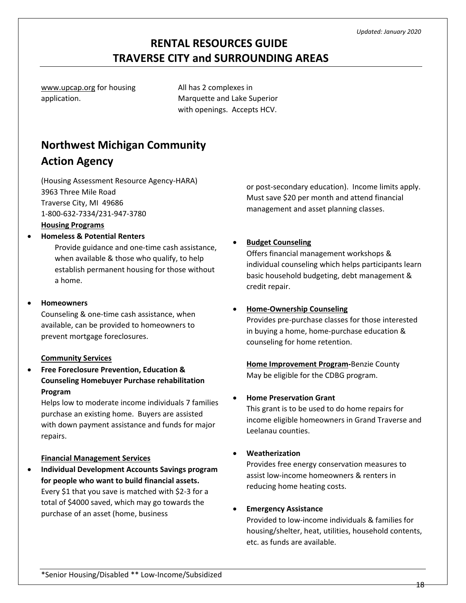[www.upcap.org](http://www.upcap.org/) for housing application.

All has 2 complexes in Marquette and Lake Superior with openings. Accepts HCV.

# **Northwest Michigan Community Action Agency**

(Housing Assessment Resource Agency-HARA) 3963 Three Mile Road Traverse City, MI 49686 1-800-632-7334/231-947-3780

### **Housing Programs**

#### • **Homeless & Potential Renters**

Provide guidance and one-time cash assistance, when available & those who qualify, to help establish permanent housing for those without a home.

#### • **Homeowners**

Counseling & one-time cash assistance, when available, can be provided to homeowners to prevent mortgage foreclosures.

#### **Community Services**

• **Free Foreclosure Prevention, Education & Counseling Homebuyer Purchase rehabilitation Program**

Helps low to moderate income individuals 7 families purchase an existing home. Buyers are assisted with down payment assistance and funds for major repairs.

#### **Financial Management Services**

• **Individual Development Accounts Savings program for people who want to build financial assets.** Every \$1 that you save is matched with \$2-3 for a total of \$4000 saved, which may go towards the purchase of an asset (home, business

or post-secondary education). Income limits apply. Must save \$20 per month and attend financial management and asset planning classes.

### • **Budget Counseling**

Offers financial management workshops & individual counseling which helps participants learn basic household budgeting, debt management & credit repair.

#### • **Home-Ownership Counseling**

Provides pre-purchase classes for those interested in buying a home, home-purchase education & counseling for home retention.

**Home Improvement Program-**Benzie County May be eligible for the CDBG program.

#### • **Home Preservation Grant**

This grant is to be used to do home repairs for income eligible homeowners in Grand Traverse and Leelanau counties.

#### • **Weatherization**

Provides free energy conservation measures to assist low-income homeowners & renters in reducing home heating costs.

### • **Emergency Assistance**

Provided to low-income individuals & families for housing/shelter, heat, utilities, household contents, etc. as funds are available.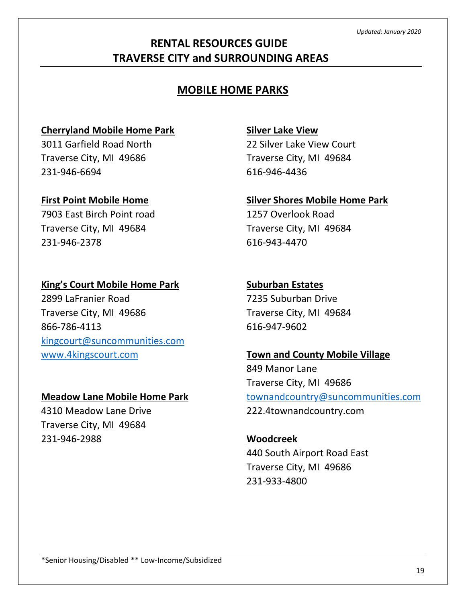# **MOBILE HOME PARKS**

## **Cherryland Mobile Home Park**

3011 Garfield Road North Traverse City, MI 49686 231-946-6694

## **First Point Mobile Home**

7903 East Birch Point road Traverse City, MI 49684 231-946-2378

# **King's Court Mobile Home Park**

2899 LaFranier Road Traverse City, MI 49686 866-786-4113 [kingcourt@suncommunities.com](mailto:kingcourt@suncommunities.com) [www.4kingscourt.com](http://www.4kingscourt.com/)

## **Meadow Lane Mobile Home Park**

4310 Meadow Lane Drive Traverse City, MI 49684 231-946-2988

# **Silver Lake View**

22 Silver Lake View Court Traverse City, MI 49684 616-946-4436

# **Silver Shores Mobile Home Park**

1257 Overlook Road Traverse City, MI 49684 616-943-4470

# **Suburban Estates**

7235 Suburban Drive Traverse City, MI 49684 616-947-9602

# **Town and County Mobile Village**

849 Manor Lane Traverse City, MI 49686 [townandcountry@suncommunities.com](mailto:townandcountry@suncommunities.com) 222.4townandcountry.com

**Woodcreek** 440 South Airport Road East Traverse City, MI 49686 231-933-4800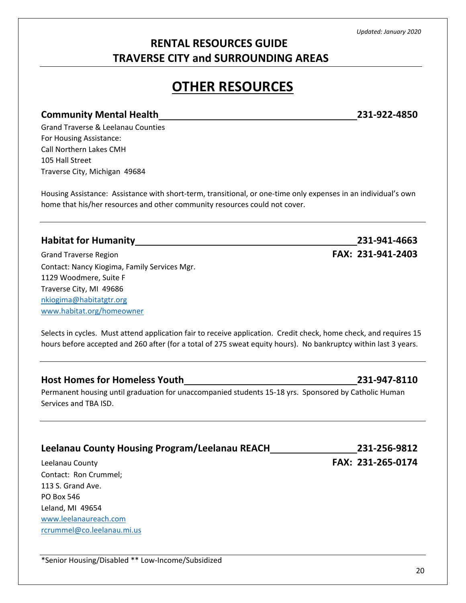# **RENTAL RESOURCES GUIDE TRAVERSE CITY and SURROUNDING AREAS**

# **OTHER RESOURCES**

### **Community Mental Health 231-922-4850**

Grand Traverse & Leelanau Counties For Housing Assistance: Call Northern Lakes CMH 105 Hall Street Traverse City, Michigan 49684

Housing Assistance: Assistance with short-term, transitional, or one-time only expenses in an individual's own home that his/her resources and other community resources could not cover.

### **Habitat for Humanity 231-941-4663**

Grand Traverse Region **FAX: 231-941-2403** Contact: Nancy Kiogima, Family Services Mgr. 1129 Woodmere, Suite F Traverse City, MI 49686 [nkiogima@habitatgtr.org](mailto:nkiogima@habitatgtr.org) [www.habitat.org/homeowner](http://www.habitat.org/homeowner)

Selects in cycles. Must attend application fair to receive application. Credit check, home check, and requires 15 hours before accepted and 260 after (for a total of 275 sweat equity hours). No bankruptcy within last 3 years.

### **Host Homes for Homeless Youth 231-947-8110**

Permanent housing until graduation for unaccompanied students 15-18 yrs. Sponsored by Catholic Human Services and TBA ISD.

## **Leelanau County Housing Program/Leelanau REACH 231-256-9812**

Contact: Ron Crummel; 113 S. Grand Ave. PO Box 546 Leland, MI 49654 [www.leelanaureach.com](http://www.leelanaureach.com/) [rcrummel@co.leelanau.mi.us](mailto:rcrummel@co.leelanau.mi.us)

Leelanau County **FAX: 231-265-0174**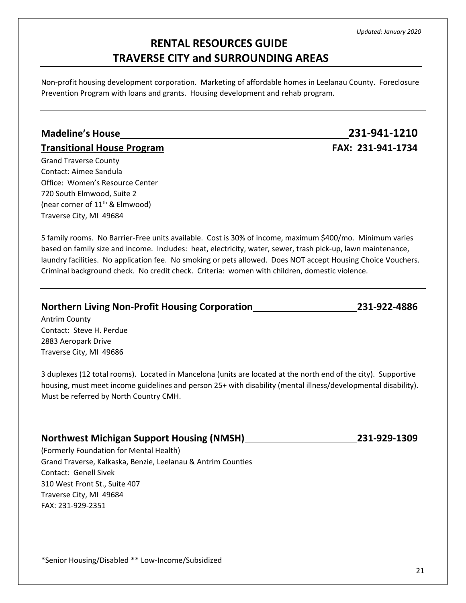21

*Updated: January 2020*

# **RENTAL RESOURCES GUIDE TRAVERSE CITY and SURROUNDING AREAS**

Non-profit housing development corporation. Marketing of affordable homes in Leelanau County. Foreclosure Prevention Program with loans and grants. Housing development and rehab program.

### **Madeline's House 231-941-1210**

### **Transitional House Program FAX: 231-941-1734**

Grand Traverse County Contact: Aimee Sandula Office: Women's Resource Center 720 South Elmwood, Suite 2 (near corner of  $11<sup>th</sup>$  & Elmwood) Traverse City, MI 49684

5 family rooms. No Barrier-Free units available. Cost is 30% of income, maximum \$400/mo. Minimum varies based on family size and income. Includes: heat, electricity, water, sewer, trash pick-up, lawn maintenance, laundry facilities. No application fee. No smoking or pets allowed. Does NOT accept Housing Choice Vouchers. Criminal background check. No credit check. Criteria: women with children, domestic violence.

### **Northern Living Non-Profit Housing Corporation 231-922-4886**

Antrim County Contact: Steve H. Perdue 2883 Aeropark Drive Traverse City, MI 49686

3 duplexes (12 total rooms). Located in Mancelona (units are located at the north end of the city). Supportive housing, must meet income guidelines and person 25+ with disability (mental illness/developmental disability). Must be referred by North Country CMH.

### **Northwest Michigan Support Housing (NMSH) 231-929-1309**

(Formerly Foundation for Mental Health) Grand Traverse, Kalkaska, Benzie, Leelanau & Antrim Counties Contact: Genell Sivek 310 West Front St., Suite 407 Traverse City, MI 49684 FAX: 231-929-2351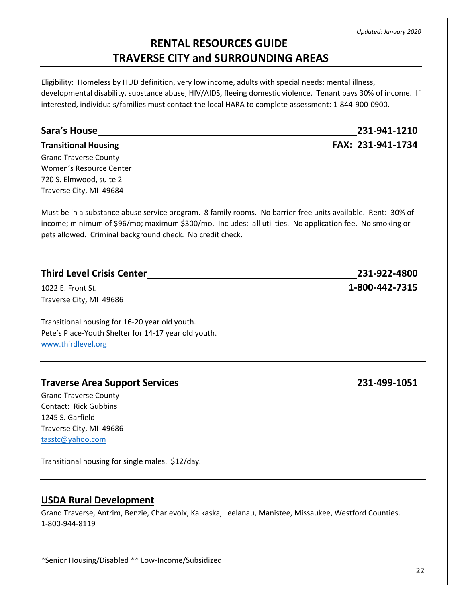Eligibility: Homeless by HUD definition, very low income, adults with special needs; mental illness, developmental disability, substance abuse, HIV/AIDS, fleeing domestic violence. Tenant pays 30% of income. If interested, individuals/families must contact the local HARA to complete assessment: 1-844-900-0900.

| <b>Sara's House</b>                                                                                                                                                                                                                                                                  | 231-941-1210      |
|--------------------------------------------------------------------------------------------------------------------------------------------------------------------------------------------------------------------------------------------------------------------------------------|-------------------|
| <b>Transitional Housing</b>                                                                                                                                                                                                                                                          | FAX: 231-941-1734 |
| <b>Grand Traverse County</b>                                                                                                                                                                                                                                                         |                   |
| Women's Resource Center                                                                                                                                                                                                                                                              |                   |
| 720 S. Elmwood, suite 2                                                                                                                                                                                                                                                              |                   |
| Traverse City, MI 49684                                                                                                                                                                                                                                                              |                   |
| Must be in a substance abuse service program. 8 family rooms. No barrier-free units available. Rent: 30% of<br>income; minimum of \$96/mo; maximum \$300/mo. Includes: all utilities. No application fee. No smoking or<br>pets allowed. Criminal background check. No credit check. |                   |
| <b>Third Level Crisis Center</b>                                                                                                                                                                                                                                                     | 231-922-4800      |
| 1022 E. Front St.                                                                                                                                                                                                                                                                    | 1-800-442-7315    |
| Traverse City, MI 49686                                                                                                                                                                                                                                                              |                   |
| Transitional housing for 16-20 year old youth.                                                                                                                                                                                                                                       |                   |
| Pete's Place-Youth Shelter for 14-17 year old youth.                                                                                                                                                                                                                                 |                   |

[www.thirdlevel.org](http://www.thirdlevel.org/)

### **Traverse Area Support Services 231-499-1051**

Grand Traverse County Contact: Rick Gubbins 1245 S. Garfield Traverse City, MI 49686 [tasstc@yahoo.com](mailto:tasstc@yahoo.com)

Transitional housing for single males. \$12/day.

### **USDA Rural Development**

Grand Traverse, Antrim, Benzie, Charlevoix, Kalkaska, Leelanau, Manistee, Missaukee, Westford Counties. 1-800-944-8119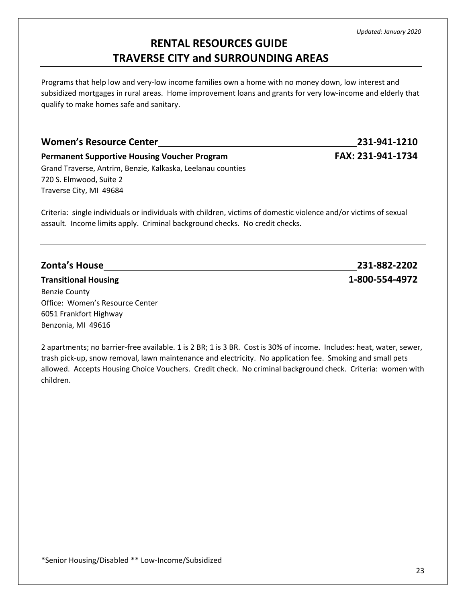23

# **RENTAL RESOURCES GUIDE TRAVERSE CITY and SURROUNDING AREAS**

Programs that help low and very-low income families own a home with no money down, low interest and subsidized mortgages in rural areas. Home improvement loans and grants for very low-income and elderly that qualify to make homes safe and sanitary.

# **Women's Resource Center 231-941-1210 Permanent Supportive Housing Voucher Program FAX: 231-941-1734** Grand Traverse, Antrim, Benzie, Kalkaska, Leelanau counties 720 S. Elmwood, Suite 2 Traverse City, MI 49684

Criteria: single individuals or individuals with children, victims of domestic violence and/or victims of sexual assault. Income limits apply. Criminal background checks. No credit checks.

### **Transitional Housing 1-800-554-4972**

Benzie County Office: Women's Resource Center 6051 Frankfort Highway Benzonia, MI 49616

2 apartments; no barrier-free available. 1 is 2 BR; 1 is 3 BR. Cost is 30% of income. Includes: heat, water, sewer, trash pick-up, snow removal, lawn maintenance and electricity. No application fee. Smoking and small pets allowed. Accepts Housing Choice Vouchers. Credit check. No criminal background check. Criteria: women with children.

**Zonta's House 231-882-2202**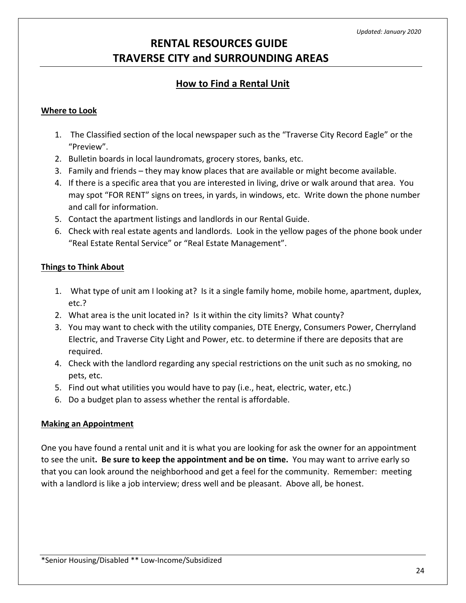### **How to Find a Rental Unit**

### **Where to Look**

- 1. The Classified section of the local newspaper such as the "Traverse City Record Eagle" or the "Preview".
- 2. Bulletin boards in local laundromats, grocery stores, banks, etc.
- 3. Family and friends they may know places that are available or might become available.
- 4. If there is a specific area that you are interested in living, drive or walk around that area. You may spot "FOR RENT" signs on trees, in yards, in windows, etc. Write down the phone number and call for information.
- 5. Contact the apartment listings and landlords in our Rental Guide.
- 6. Check with real estate agents and landlords. Look in the yellow pages of the phone book under "Real Estate Rental Service" or "Real Estate Management".

### **Things to Think About**

- 1. What type of unit am I looking at? Is it a single family home, mobile home, apartment, duplex, etc.?
- 2. What area is the unit located in? Is it within the city limits? What county?
- 3. You may want to check with the utility companies, DTE Energy, Consumers Power, Cherryland Electric, and Traverse City Light and Power, etc. to determine if there are deposits that are required.
- 4. Check with the landlord regarding any special restrictions on the unit such as no smoking, no pets, etc.
- 5. Find out what utilities you would have to pay (i.e., heat, electric, water, etc.)
- 6. Do a budget plan to assess whether the rental is affordable.

### **Making an Appointment**

One you have found a rental unit and it is what you are looking for ask the owner for an appointment to see the unit**. Be sure to keep the appointment and be on time.** You may want to arrive early so that you can look around the neighborhood and get a feel for the community. Remember: meeting with a landlord is like a job interview; dress well and be pleasant. Above all, be honest.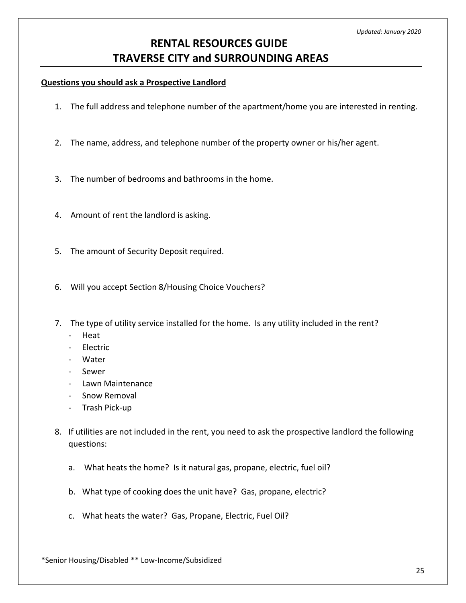#### **Questions you should ask a Prospective Landlord**

- 1. The full address and telephone number of the apartment/home you are interested in renting.
- 2. The name, address, and telephone number of the property owner or his/her agent.
- 3. The number of bedrooms and bathrooms in the home.
- 4. Amount of rent the landlord is asking.
- 5. The amount of Security Deposit required.
- 6. Will you accept Section 8/Housing Choice Vouchers?
- 7. The type of utility service installed for the home. Is any utility included in the rent?
	- Heat
	- **Electric**
	- Water
	- Sewer
	- Lawn Maintenance
	- Snow Removal
	- Trash Pick-up
- 8. If utilities are not included in the rent, you need to ask the prospective landlord the following questions:
	- a. What heats the home? Is it natural gas, propane, electric, fuel oil?
	- b. What type of cooking does the unit have? Gas, propane, electric?
	- c. What heats the water? Gas, Propane, Electric, Fuel Oil?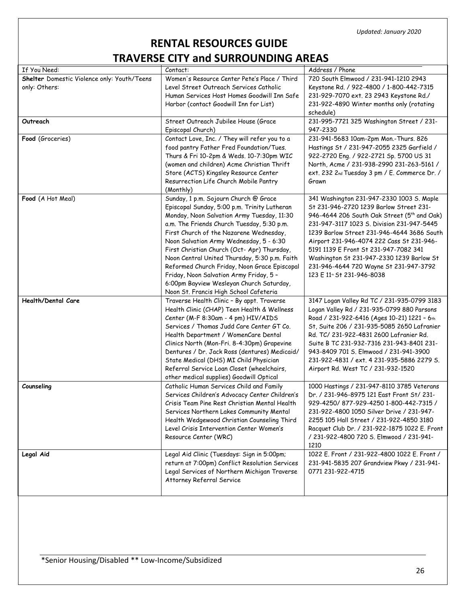# **RENTAL RESOURCES GUIDE TRAVERSE CITY and SURROUNDING AREAS**

| If You Need:                                | Contact:                                       | Address / Phone                                         |
|---------------------------------------------|------------------------------------------------|---------------------------------------------------------|
|                                             | Women's Resource Center Pete's Place / Third   | 720 South Elmwood / 231-941-1210 2943                   |
| Shelter Domestic Violence only: Youth/Teens | Level Street Outreach Services Catholic        |                                                         |
| only: Others:                               |                                                | Keystone Rd. / 922-4800 / 1-800-442-7315                |
|                                             | Human Services Host Homes Goodwill Inn Safe    | 231-929-7070 ext. 23 2943 Keystone Rd./                 |
|                                             | Harbor (contact Goodwill Inn for List)         | 231-922-4890 Winter months only (rotating               |
|                                             |                                                | schedule)                                               |
| Outreach                                    | Street Outreach Jubilee House (Grace           | 231-995-7721 325 Washington Street / 231-               |
|                                             | Episcopal Church)                              | 947-2330                                                |
| Food (Groceries)                            | Contact Love, Inc. / They will refer you to a  | 231-941-5683 10am-2pm Mon.-Thurs. 826                   |
|                                             | food pantry Father Fred Foundation/Tues.       | Hastings St / 231-947-2055 2325 Garfield /              |
|                                             | Thurs & Fri 10-2pm & Weds. 10-7:30pm WIC       | 922-2720 Eng. / 922-2721 Sp. 5700 US 31                 |
|                                             | (women and children) Acme Christian Thrift     | North, Acme / 231-938-2990 231-263-5161 /               |
|                                             | Store (ACTS) Kingsley Resource Center          | ext. 232 2nd Tuesday 3 pm / E. Commerce Dr. /           |
|                                             | Resurrection Life Church Mobile Pantry         | Grawn                                                   |
|                                             | (Monthly)                                      |                                                         |
| Food (A Hot Meal)                           | Sunday, 1 p.m. Sojourn Church @ Grace          | 341 Washington 231-947-2330 1003 S. Maple               |
|                                             | Episcopal Sunday, 5:00 p.m. Trinity Lutheran   | St 231-946-2720 1239 Barlow Street 231-                 |
|                                             | Monday, Noon Salvation Army Tuesday, 11:30     | 946-4644 206 South Oak Street (5 <sup>th</sup> and Oak) |
|                                             | a.m. The Friends Church Tuesday, 5:30 p.m.     | 231-947-3117 1023 S. Division 231-947-5445              |
|                                             | First Church of the Nazarene Wednesday,        | 1239 Barlow Street 231-946-4644 3686 South              |
|                                             | Noon Salvation Army Wednesday, 5 - 6:30        | Airport 231-946-4074 222 Cass St 231-946-               |
|                                             | First Christian Church (Oct- Apr) Thursday,    | 5191 1139 E Front St 231-947-7082 341                   |
|                                             | Noon Central United Thursday, 5:30 p.m. Faith  | Washington St 231-947-2330 1239 Barlow St               |
|                                             | Reformed Church Friday, Noon Grace Episcopal   | 231-946-4644 720 Wayne St 231-947-3792                  |
|                                             | Friday, Noon Salvation Army Friday, 5 -        | 123 E 11 <sup>th</sup> St 231-946-8038                  |
|                                             | 6:00pm Bayview Wesleyan Church Saturday,       |                                                         |
|                                             | Noon St. Francis High School Cafeteria         |                                                         |
| <b>Health/Dental Care</b>                   | Traverse Health Clinic - By appt. Traverse     | 3147 Logan Valley Rd TC / 231-935-0799 3183             |
|                                             | Health Clinic (CHAP) Teen Health & Wellness    | Logan Valley Rd / 231-935-0799 880 Parsons              |
|                                             | Center (M-F 8:30am - 4 pm) HIV/AIDS            | Road / 231-922-6416 (Ages 10-21) 1221 - 6th             |
|                                             | Services / Thomas Judd Care Center GT Co.      | St, Suite 206 / 231-935-5085 2650 Lafranier             |
|                                             | Health Department / WomenCare Dental           | Rd. TC/ 231-922-4831 2600 Lafranier Rd.                 |
|                                             | Clinics North (Mon-Fri. 8-4:30pm) Grapevine    | Suite B TC 231-932-7316 231-943-8401 231-               |
|                                             | Dentures / Dr. Jack Ross (dentures) Medicaid/  | 943-8409 701 S. Elmwood / 231-941-3900                  |
|                                             | State Medical (DHS) MI Child Physician         | 231-922-4831 / ext. 4 231-935-5886 2279 S.              |
|                                             | Referral Service Loan Closet (wheelchairs,     | Airport Rd. West TC / 231-932-1520                      |
|                                             | other medical supplies) Goodwill Optical       |                                                         |
| Counseling                                  | Catholic Human Services Child and Family       | 1000 Hastings / 231-947-8110 3785 Veterans              |
|                                             | Services Children's Advocacy Center Children's | Dr. / 231-946-8975 121 East Front St/ 231-              |
|                                             | Crisis Team Pine Rest Christian Mental Health  | 929-4250/877-929-4250 1-800-442-7315 /                  |
|                                             | Services Northern Lakes Community Mental       | 231-922-4800 1050 Silver Drive / 231-947-               |
|                                             | Health Wedgewood Christian Counseling Third    | 2255 105 Hall Street / 231-922-4850 3180                |
|                                             | Level Crisis Intervention Center Women's       | Racquet Club Dr. / 231-922-1875 1022 E. Front           |
|                                             | Resource Center (WRC)                          | / 231-922-4800 720 S. Elmwood / 231-941-                |
|                                             |                                                | 1210                                                    |
| Legal Aid                                   | Legal Aid Clinic (Tuesdays: Sign in 5:00pm;    | 1022 E. Front / 231-922-4800 1022 E. Front /            |
|                                             | return at 7:00pm) Conflict Resolution Services | 231-941-5835 207 Grandview Pkwy / 231-941-              |
|                                             | Legal Services of Northern Michigan Traverse   | 0771 231-922-4715                                       |
|                                             | Attorney Referral Service                      |                                                         |
|                                             |                                                |                                                         |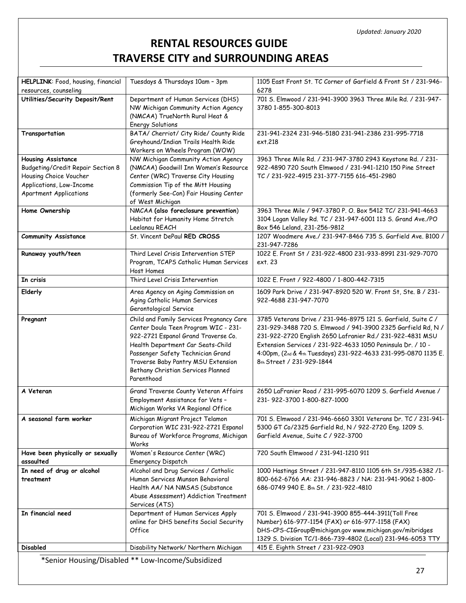| HELPLINK: Food, housing, financial<br>resources, counseling | Tuesdays & Thursdays 10am - 3pm                                                | 1105 East Front St. TC Corner of Garfield & Front St / 231-946-<br>6278                                  |
|-------------------------------------------------------------|--------------------------------------------------------------------------------|----------------------------------------------------------------------------------------------------------|
| Utilities/Security Deposit/Rent                             | Department of Human Services (DHS)                                             | 701 S. Elmwood / 231-941-3900 3963 Three Mile Rd. / 231-947-                                             |
|                                                             | NW Michigan Community Action Agency                                            | 3780 1-855-300-8013                                                                                      |
|                                                             | (NMCAA) TrueNorth Rural Heat &<br><b>Energy Solutions</b>                      |                                                                                                          |
| Transportation                                              | BATA/ Cherriot/ City Ride/ County Ride                                         | 231-941-2324 231-946-5180 231-941-2386 231-995-7718                                                      |
|                                                             | Greyhound/Indian Trails Health Ride                                            | ext.218                                                                                                  |
|                                                             | Workers on Wheels Program (WOW)                                                |                                                                                                          |
| <b>Housing Assistance</b>                                   | NW Michigan Community Action Agency                                            | 3963 Three Mile Rd. / 231-947-3780 2943 Keystone Rd. / 231-                                              |
| Budgeting/Credit Repair Section 8                           | (NMCAA) Goodwill Inn Women's Resource                                          | 922-4890 720 South Elmwood / 231-941-1210 150 Pine Street                                                |
| Housing Choice Voucher                                      | Center (WRC) Traverse City Housing                                             | TC / 231-922-4915 231-377-7155 616-451-2980                                                              |
| Applications, Low-Income                                    | Commission Tip of the Mitt Housing                                             |                                                                                                          |
| <b>Apartment Applications</b>                               | (formerly See-Con) Fair Housing Center<br>of West Michigan                     |                                                                                                          |
| Home Ownership                                              | NMCAA (also foreclosure prevention)                                            | 3963 Three Mile / 947-3780 P. O. Box 5412 TC/ 231-941-4663                                               |
|                                                             | Habitat for Humanity Home Stretch                                              | 3104 Logan Valley Rd. TC / 231-947-6001 113 S. Grand Ave./PO                                             |
|                                                             | Leelanau REACH                                                                 | Box 546 Leland, 231-256-9812                                                                             |
| <b>Community Assistance</b>                                 | St. Vincent DePaul RED CROSS                                                   | 1207 Woodmere Ave./ 231-947-8466 735 S. Garfield Ave. B100 /                                             |
|                                                             |                                                                                | 231-947-7286                                                                                             |
| Runaway youth/teen                                          | Third Level Crisis Intervention STEP<br>Program, TCAPS Catholic Human Services | 1022 E. Front St / 231-922-4800 231-933-8991 231-929-7070<br>ext. 23                                     |
|                                                             | Host Homes                                                                     |                                                                                                          |
| In crisis                                                   | Third Level Crisis Intervention                                                | 1022 E. Front / 922-4800 / 1-800-442-7315                                                                |
| Elderly                                                     | Area Agency on Aging Commission on                                             | 1609 Park Drive / 231-947-8920 520 W. Front St, Ste. B / 231-                                            |
|                                                             | Aging Catholic Human Services                                                  | 922-4688 231-947-7070                                                                                    |
|                                                             | Gerontological Service                                                         |                                                                                                          |
|                                                             | Child and Family Services Pregnancy Care                                       |                                                                                                          |
| Pregnant                                                    |                                                                                | 3785 Veterans Drive / 231-946-8975 121 S. Garfield, Suite C /                                            |
|                                                             | Center Doula Teen Program WIC - 231-                                           | 231-929-3488 720 S. Elmwood / 941-3900 2325 Garfield Rd, N /                                             |
|                                                             | 922-2721 Espanol Grand Traverse Co.                                            | 231-922-2720 English 2650 Lafranier Rd./ 231-922-4831 MSU                                                |
|                                                             | Health Department Car Seats-Child                                              | Extension Services / 231-922-4633 1050 Peninsula Dr. / 10 -                                              |
|                                                             | Passenger Safety Technician Grand<br>Traverse Baby Pantry MSU Extension        | 4:00pm, (2nd & 4th Tuesdays) 231-922-4633 231-995-0870 1135 E.<br>8th Street / 231-929-1844              |
|                                                             | Bethany Christian Services Planned                                             |                                                                                                          |
|                                                             | Parenthood                                                                     |                                                                                                          |
| A Veteran                                                   | Grand Traverse County Veteran Affairs                                          | 2650 LaFranier Road / 231-995-6070 1209 S. Garfield Avenue /                                             |
|                                                             | Employment Assistance for Vets -                                               | 231-922-3700 1-800-827-1000                                                                              |
|                                                             | Michigan Works VA Regional Office                                              |                                                                                                          |
| A seasonal farm worker                                      | Michigan Migrant Project Telamon                                               | 701 S. Elmwood / 231-946-6660 3301 Veterans Dr. TC / 231-941-                                            |
|                                                             | Corporation WIC 231-922-2721 Espanol                                           | 5300 GT Co/2325 Garfield Rd, N / 922-2720 Eng. 1209 S.                                                   |
|                                                             | Bureau of Workforce Programs, Michigan                                         | Garfield Avenue, Suite C / 922-3700                                                                      |
| Have been physically or sexually                            | Works<br>Women's Resource Center (WRC)                                         | 720 South Flmwood / 231-941-1210 911                                                                     |
| assaulted                                                   | Emergency Dispatch                                                             |                                                                                                          |
| In need of drug or alcohol                                  | Alcohol and Drug Services / Catholic                                           | 1000 Hastings Street / 231-947-8110 1105 6th St./935-6382 /1-                                            |
| treatment                                                   | Human Services Munson Behavioral                                               | 800-662-6766 AA: 231-946-8823 / NA: 231-941-9062 1-800-                                                  |
|                                                             | Health AA/ NA NMSAS (Substance                                                 | 686-0749 940 E. 8th St. / 231-922-4810                                                                   |
|                                                             | Abuse Assessment) Addiction Treatment                                          |                                                                                                          |
| In financial need                                           | Services (ATS)<br>Department of Human Services Apply                           |                                                                                                          |
|                                                             | online for DHS benefits Social Security                                        | 701 S. Elmwood / 231-941-3900 855-444-3911(Toll Free<br>Number) 616-977-1154 (FAX) or 616-977-1158 (FAX) |
|                                                             | Office                                                                         | DHS-CPS-CIGroup@michigan.gov www.michigan.gov/mibridges                                                  |
| <b>Disabled</b>                                             | Disability Network/ Northern Michigan                                          | 1329 S. Division TC/1-866-739-4802 (Local) 231-946-6053 TTY<br>415 E. Eighth Street / 231-922-0903       |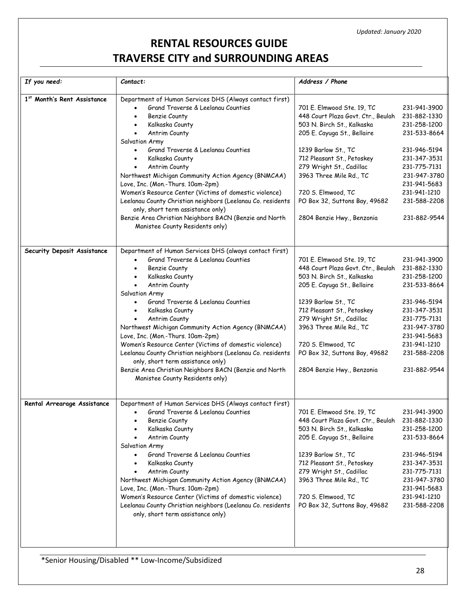| If you need:                | Contact:                                                                                                                                                                                                                                                                                                                                                                                                                                                                                                                                                                                                                                                               | Address / Phone                                                                                                                                                                                                                                                                                                                |                                                                                                                                                                                              |
|-----------------------------|------------------------------------------------------------------------------------------------------------------------------------------------------------------------------------------------------------------------------------------------------------------------------------------------------------------------------------------------------------------------------------------------------------------------------------------------------------------------------------------------------------------------------------------------------------------------------------------------------------------------------------------------------------------------|--------------------------------------------------------------------------------------------------------------------------------------------------------------------------------------------------------------------------------------------------------------------------------------------------------------------------------|----------------------------------------------------------------------------------------------------------------------------------------------------------------------------------------------|
| 1st Month's Rent Assistance | Department of Human Services DHS (Always contact first)<br>Grand Traverse & Leelanau Counties<br>$\bullet$<br>Benzie County<br>$\bullet$<br>Kalkaska County<br>Antrim County<br>Salvation Army<br>Grand Traverse & Leelanau Counties<br>$\bullet$<br>Kalkaska County<br>$\bullet$<br>Antrim County<br>$\bullet$<br>Northwest Michigan Community Action Agency (BNMCAA)<br>Love, Inc. (Mon.-Thurs. 10am-2pm)<br>Women's Resource Center (Victims of domestic violence)<br>Leelanau County Christian neighbors (Leelanau Co. residents<br>only, short term assistance only)<br>Benzie Area Christian Neighbors BACN (Benzie and North<br>Manistee County Residents only) | 701 E. Elmwood Ste. 19, TC<br>448 Court Plaza Govt. Ctr., Beulah<br>503 N. Birch St., Kalkaska<br>205 E. Cayuga St., Bellaire<br>1239 Barlow St., TC<br>712 Pleasant St., Petoskey<br>279 Wright St., Cadillac<br>3963 Three Mile Rd., TC<br>720 S. Elmwood, TC<br>PO Box 32, Suttons Bay, 49682<br>2804 Benzie Hwy., Benzonia | 231-941-3900<br>231-882-1330<br>231-258-1200<br>231-533-8664<br>231-946-5194<br>231-347-3531<br>231-775-7131<br>231-947-3780<br>231-941-5683<br>231-941-1210<br>231-588-2208<br>231-882-9544 |
| Security Deposit Assistance | Department of Human Services DHS (always contact first)<br>Grand Traverse & Leelanau Counties<br>Benzie County<br>Kalkaska County<br>$\bullet$<br>Antrim County<br>$\bullet$<br>Salvation Army<br>Grand Traverse & Leelanau Counties<br>Kalkaska County<br>$\bullet$<br>Antrim County<br>Northwest Michigan Community Action Agency (BNMCAA)<br>Love, Inc. (Mon.-Thurs. 10am-2pm)<br>Women's Resource Center (Victims of domestic violence)<br>Leelanau County Christian neighbors (Leelanau Co. residents<br>only, short term assistance only)<br>Benzie Area Christian Neighbors BACN (Benzie and North<br>Manistee County Residents only)                           | 701 E. Elmwood Ste. 19, TC<br>448 Court Plaza Govt. Ctr., Beulah<br>503 N. Birch St., Kalkaska<br>205 E. Cayuga St., Bellaire<br>1239 Barlow St., TC<br>712 Pleasant St., Petoskey<br>279 Wright St., Cadillac<br>3963 Three Mile Rd., TC<br>720 S. Elmwood, TC<br>PO Box 32, Suttons Bay, 49682<br>2804 Benzie Hwy., Benzonia | 231-941-3900<br>231-882-1330<br>231-258-1200<br>231-533-8664<br>231-946-5194<br>231-347-3531<br>231-775-7131<br>231-947-3780<br>231-941-5683<br>231-941-1210<br>231-588-2208<br>231-882-9544 |
| Rental Arrearage Assistance | Department of Human Services DHS (Always contact first)<br>Grand Traverse & Leelanau Counties<br>Benzie County<br>Kalkaska County<br>Antrim County<br>Salvation Army<br>Grand Traverse & Leelanau Counties<br>Kalkaska County<br>Antrim County<br>Northwest Michigan Community Action Agency (BNMCAA)<br>Love, Inc. (Mon.-Thurs. 10am-2pm)<br>Women's Resource Center (Victims of domestic violence)<br>Leelanau County Christian neighbors (Leelanau Co. residents<br>only, short term assistance only)                                                                                                                                                               | 701 E. Elmwood Ste. 19, TC<br>448 Court Plaza Govt. Ctr., Beulah<br>503 N. Birch St., Kalkaska<br>205 E. Cayuga St., Bellaire<br>1239 Barlow St., TC<br>712 Pleasant St., Petoskey<br>279 Wright St., Cadillac<br>3963 Three Mile Rd., TC<br>720 S. Elmwood, TC<br>PO Box 32, Suttons Bay, 49682                               | 231-941-3900<br>231-882-1330<br>231-258-1200<br>231-533-8664<br>231-946-5194<br>231-347-3531<br>231-775-7131<br>231-947-3780<br>231-941-5683<br>231-941-1210<br>231-588-2208                 |